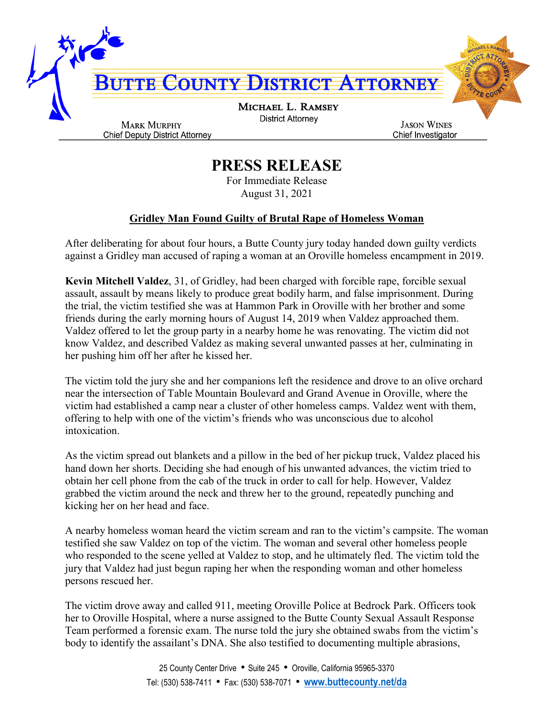

## **PRESS RELEASE**

For Immediate Release August 31, 2021

## **Gridley Man Found Guilty of Brutal Rape of Homeless Woman**

After deliberating for about four hours, a Butte County jury today handed down guilty verdicts against a Gridley man accused of raping a woman at an Oroville homeless encampment in 2019.

**Kevin Mitchell Valdez**, 31, of Gridley, had been charged with forcible rape, forcible sexual assault, assault by means likely to produce great bodily harm, and false imprisonment. During the trial, the victim testified she was at Hammon Park in Oroville with her brother and some friends during the early morning hours of August 14, 2019 when Valdez approached them. Valdez offered to let the group party in a nearby home he was renovating. The victim did not know Valdez, and described Valdez as making several unwanted passes at her, culminating in her pushing him off her after he kissed her.

The victim told the jury she and her companions left the residence and drove to an olive orchard near the intersection of Table Mountain Boulevard and Grand Avenue in Oroville, where the victim had established a camp near a cluster of other homeless camps. Valdez went with them, offering to help with one of the victim's friends who was unconscious due to alcohol intoxication.

As the victim spread out blankets and a pillow in the bed of her pickup truck, Valdez placed his hand down her shorts. Deciding she had enough of his unwanted advances, the victim tried to obtain her cell phone from the cab of the truck in order to call for help. However, Valdez grabbed the victim around the neck and threw her to the ground, repeatedly punching and kicking her on her head and face.

A nearby homeless woman heard the victim scream and ran to the victim's campsite. The woman testified she saw Valdez on top of the victim. The woman and several other homeless people who responded to the scene yelled at Valdez to stop, and he ultimately fled. The victim told the jury that Valdez had just begun raping her when the responding woman and other homeless persons rescued her.

The victim drove away and called 911, meeting Oroville Police at Bedrock Park. Officers took her to Oroville Hospital, where a nurse assigned to the Butte County Sexual Assault Response Team performed a forensic exam. The nurse told the jury she obtained swabs from the victim's body to identify the assailant's DNA. She also testified to documenting multiple abrasions,